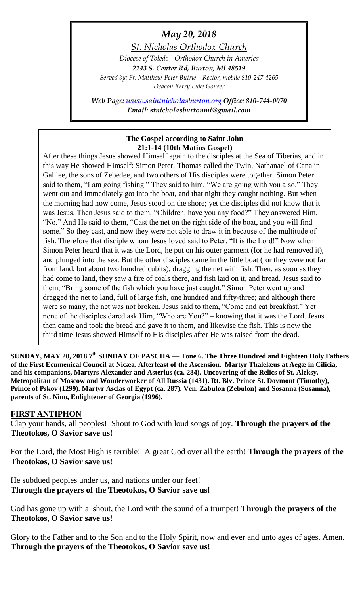# *May 20, 2018*

*St. Nicholas Orthodox Church*

*Diocese of Toledo - Orthodox Church in America 2143 S. Center Rd, Burton, MI 48519 Served by: Fr. Matthew-Peter Butrie – Rector, mobile 810-247-4265 Deacon Kerry Luke Gonser*

*Web Page: [www.saintnicholasburton.org](http://www.saintnicholasburton.org/) Office: 810-744-0070 Email: stnicholasburtonmi@gmail.com*

#### **The Gospel according to Saint John 21:1-14 (10th Matins Gospel)**

After these things Jesus showed Himself again to the disciples at the Sea of Tiberias, and in this way He showed Himself: Simon Peter, Thomas called the Twin, Nathanael of Cana in Galilee, the sons of Zebedee, and two others of His disciples were together. Simon Peter said to them, "I am going fishing." They said to him, "We are going with you also." They went out and immediately got into the boat, and that night they caught nothing. But when the morning had now come, Jesus stood on the shore; yet the disciples did not know that it was Jesus. Then Jesus said to them, "Children, have you any food?" They answered Him, "No." And He said to them, "Cast the net on the right side of the boat, and you will find some." So they cast, and now they were not able to draw it in because of the multitude of fish. Therefore that disciple whom Jesus loved said to Peter, "It is the Lord!" Now when Simon Peter heard that it was the Lord, he put on his outer garment (for he had removed it), and plunged into the sea. But the other disciples came in the little boat (for they were not far from land, but about two hundred cubits), dragging the net with fish. Then, as soon as they had come to land, they saw a fire of coals there, and fish laid on it, and bread. Jesus said to them, "Bring some of the fish which you have just caught." Simon Peter went up and dragged the net to land, full of large fish, one hundred and fifty-three; and although there were so many, the net was not broken. Jesus said to them, "Come and eat breakfast." Yet none of the disciples dared ask Him, "Who are You?" – knowing that it was the Lord. Jesus then came and took the bread and gave it to them, and likewise the fish. This is now the third time Jesus showed Himself to His disciples after He was raised from the dead.

**SUNDAY, MAY 20, 2018 7 th SUNDAY OF PASCHA — Tone 6. The Three Hundred and Eighteen Holy Fathers of the First Ecumenical Council at Nicæa. Afterfeast of the Ascension. Martyr Thalelæus at Aegæ in Cilicia, and his companions, Martyrs Alexander and Asterius (ca. 284). Uncovering of the Relics of St. Aleksy, Metropolitan of Moscow and Wonderworker of All Russia (1431). Rt. Blv. Prince St. Dovmont (Timothy), Prince of Pskov (1299). Martyr Asclas of Egypt (ca. 287). Ven. Zabulon (Zebulon) and Sosanna (Susanna), parents of St. Nino, Enlightener of Georgia (1996).**

#### **FIRST ANTIPHON**

Clap your hands, all peoples! Shout to God with loud songs of joy. **Through the prayers of the Theotokos, O Savior save us!**

For the Lord, the Most High is terrible! A great God over all the earth! **Through the prayers of the Theotokos, O Savior save us!**

He subdued peoples under us, and nations under our feet! **Through the prayers of the Theotokos, O Savior save us!**

God has gone up with a shout, the Lord with the sound of a trumpet! **Through the prayers of the Theotokos, O Savior save us!**

Glory to the Father and to the Son and to the Holy Spirit, now and ever and unto ages of ages. Amen. **Through the prayers of the Theotokos, O Savior save us!**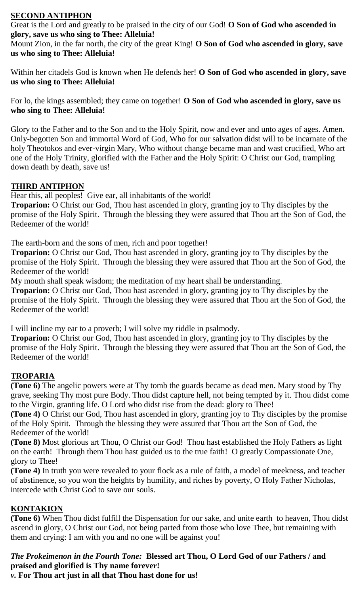## **SECOND ANTIPHON**

Great is the Lord and greatly to be praised in the city of our God! **O Son of God who ascended in glory, save us who sing to Thee: Alleluia!**

Mount Zion, in the far north, the city of the great King! **O Son of God who ascended in glory, save us who sing to Thee: Alleluia!**

Within her citadels God is known when He defends her! **O Son of God who ascended in glory, save us who sing to Thee: Alleluia!**

For lo, the kings assembled; they came on together! **O Son of God who ascended in glory, save us who sing to Thee: Alleluia!**

Glory to the Father and to the Son and to the Holy Spirit, now and ever and unto ages of ages. Amen. Only-begotten Son and immortal Word of God, Who for our salvation didst will to be incarnate of the holy Theotokos and ever-virgin Mary, Who without change became man and wast crucified, Who art one of the Holy Trinity, glorified with the Father and the Holy Spirit: O Christ our God, trampling down death by death, save us!

#### **THIRD ANTIPHON**

Hear this, all peoples! Give ear, all inhabitants of the world!

**Troparion:** O Christ our God, Thou hast ascended in glory, granting joy to Thy disciples by the promise of the Holy Spirit. Through the blessing they were assured that Thou art the Son of God, the Redeemer of the world!

The earth-born and the sons of men, rich and poor together!

**Troparion:** O Christ our God, Thou hast ascended in glory, granting joy to Thy disciples by the promise of the Holy Spirit. Through the blessing they were assured that Thou art the Son of God, the Redeemer of the world!

My mouth shall speak wisdom; the meditation of my heart shall be understanding.

**Troparion:** O Christ our God, Thou hast ascended in glory, granting joy to Thy disciples by the promise of the Holy Spirit. Through the blessing they were assured that Thou art the Son of God, the Redeemer of the world!

I will incline my ear to a proverb; I will solve my riddle in psalmody.

**Troparion:** O Christ our God, Thou hast ascended in glory, granting joy to Thy disciples by the promise of the Holy Spirit. Through the blessing they were assured that Thou art the Son of God, the Redeemer of the world!

## **TROPARIA**

**(Tone 6)** The angelic powers were at Thy tomb the guards became as dead men. Mary stood by Thy grave, seeking Thy most pure Body. Thou didst capture hell, not being tempted by it. Thou didst come to the Virgin, granting life. O Lord who didst rise from the dead: glory to Thee!

**(Tone 4)** O Christ our God, Thou hast ascended in glory, granting joy to Thy disciples by the promise of the Holy Spirit. Through the blessing they were assured that Thou art the Son of God, the Redeemer of the world!

**(Tone 8)** Most glorious art Thou, O Christ our God! Thou hast established the Holy Fathers as light on the earth! Through them Thou hast guided us to the true faith! O greatly Compassionate One, glory to Thee!

**(Tone 4)** In truth you were revealed to your flock as a rule of faith, a model of meekness, and teacher of abstinence, so you won the heights by humility, and riches by poverty, O Holy Father Nicholas, intercede with Christ God to save our souls.

## **KONTAKION**

**(Tone 6)** When Thou didst fulfill the Dispensation for our sake, and unite earth to heaven, Thou didst ascend in glory, O Christ our God, not being parted from those who love Thee, but remaining with them and crying: I am with you and no one will be against you!

# *The Prokeimenon in the Fourth Tone:* **Blessed art Thou, O Lord God of our Fathers / and praised and glorified is Thy name forever!**

*v.* **For Thou art just in all that Thou hast done for us!**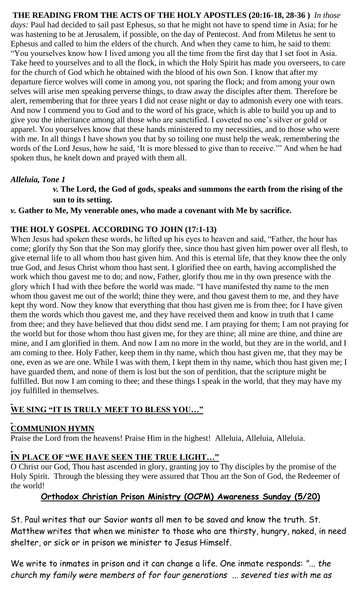**THE READING FROM THE ACTS OF THE HOLY APOSTLES (20:16-18, 28-36 )** *In those days:* Paul had decided to sail past Ephesus, so that he might not have to spend time in Asia; for he was hastening to be at Jerusalem, if possible, on the day of Pentecost. And from Miletus he sent to Ephesus and called to him the elders of the church. And when they came to him, he said to them: "You yourselves know how I lived among you all the time from the first day that I set foot in Asia. Take heed to yourselves and to all the flock, in which the Holy Spirit has made you overseers, to care for the church of God which he obtained with the blood of his own Son. I know that after my departure fierce wolves will come in among you, not sparing the flock; and from among your own selves will arise men speaking perverse things, to draw away the disciples after them. Therefore be alert, remembering that for three years I did not cease night or day to admonish every one with tears. And now I commend you to God and to the word of his grace, which is able to build you up and to give you the inheritance among all those who are sanctified. I coveted no one's silver or gold or apparel. You yourselves know that these hands ministered to my necessities, and to those who were with me. In all things I have shown you that by so toiling one must help the weak, remembering the words of the Lord Jesus, how he said, 'It is more blessed to give than to receive.'" And when he had spoken thus, he knelt down and prayed with them all.

#### *Alleluia, Tone 1*

*v.* **The Lord, the God of gods, speaks and summons the earth from the rising of the sun to its setting.**

*v.* **Gather to Me, My venerable ones, who made a covenant with Me by sacrifice.**

#### **THE HOLY GOSPEL ACCORDING TO JOHN (17:1-13)**

When Jesus had spoken these words, he lifted up his eyes to heaven and said, "Father, the hour has come; glorify thy Son that the Son may glorify thee, since thou hast given him power over all flesh, to give eternal life to all whom thou hast given him. And this is eternal life, that they know thee the only true God, and Jesus Christ whom thou hast sent. I glorified thee on earth, having accomplished the work which thou gavest me to do; and now, Father, glorify thou me in thy own presence with the glory which I had with thee before the world was made. "I have manifested thy name to the men whom thou gavest me out of the world; thine they were, and thou gavest them to me, and they have kept thy word. Now they know that everything that thou hast given me is from thee; for I have given them the words which thou gavest me, and they have received them and know in truth that I came from thee; and they have believed that thou didst send me. I am praying for them; I am not praying for the world but for those whom thou hast given me, for they are thine; all mine are thine, and thine are mine, and I am glorified in them. And now I am no more in the world, but they are in the world, and I am coming to thee. Holy Father, keep them in thy name, which thou hast given me, that they may be one, even as we are one. While I was with them, I kept them in thy name, which thou hast given me; I have guarded them, and none of them is lost but the son of perdition, that the scripture might be fulfilled. But now I am coming to thee; and these things I speak in the world, that they may have my joy fulfilled in themselves.

## **WE SING "IT IS TRULY MEET TO BLESS YOU…"**

## **COMMUNION HYMN**

Praise the Lord from the heavens! Praise Him in the highest! Alleluia, Alleluia, Alleluia.

## **IN PLACE OF "WE HAVE SEEN THE TRUE LIGHT…"**

O Christ our God, Thou hast ascended in glory, granting joy to Thy disciples by the promise of the Holy Spirit. Through the blessing they were assured that Thou art the Son of God, the Redeemer of the world!

## **Orthodox Christian Prison Ministry (OCPM) Awareness Sunday (5/20)**

St. Paul writes that our Savior wants all men to be saved and know the truth. St. Matthew writes that when we minister to those who are thirsty, hungry, naked, in need shelter, or sick or in prison we minister to Jesus Himself.

We write to inmates in prison and it can change a life. One inmate responds: *"... the church my family were members of for four generations ... severed ties with me as*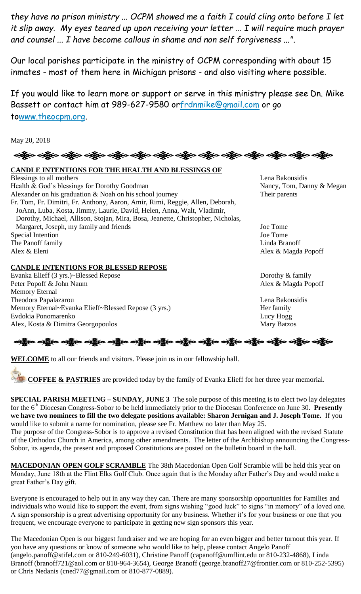*they have no prison ministry ... OCPM showed me a faith I could cling onto before I let it slip away. My eyes teared up upon receiving your letter ... I will require much prayer and counsel ... I have become callous in shame and non self forgiveness ...".*

Our local parishes participate in the ministry of OCPM corresponding with about 15 inmates - most of them here in Michigan prisons - and also visiting where possible.

If you would like to learn more or support or serve in this ministry please see Dn. Mike Bassett or contact him at 989-627-9580 o[rfrdnmike@gmail.com](mailto:frdnmike@gmail.com) or go t[owww.theocpm.org.](http://www.theocpm.org/)

May 20, 2018

## ခရွို့လ ခရွိ**့ သို့လ ခရိုင် ခရွိသည့်လည်း ခရွိသည့်လည်း သည်**သည်။ အစိုး ခရွိသည့် အစိုးရ ခရွိသည်။

#### **CANDLE INTENTIONS FOR THE HEALTH AND BLESSINGS OF**

Blessings to all mothers **Lena Bakousidis** Lena Bakousidis Health & God's blessings for Dorothy Goodman Nancy, Tom, Danny & Megan Alexander on his graduation & Noah on his school journey Their parents Fr. Tom, Fr. Dimitri, Fr. Anthony, Aaron, Amir, Rimi, Reggie, Allen, Deborah, JoAnn, Luba, Kosta, Jimmy, Laurie, David, Helen, Anna, Walt, Vladimir, Dorothy, Michael, Allison, Stojan, Mira, Bosa, Jeanette, Christopher, Nicholas, Margaret, Joseph, my family and friends Joe Tome Special Intention Joe Tome The Panoff family Linda Branoff Alex & Eleni Alex & Magda Popoff

#### **CANDLE INTENTIONS FOR BLESSED REPOSE**

Evanka Elieff (3 yrs.)~Blessed Repose Dorothy & family Peter Popoff & John Naum Alex & Magda Popoff Memory Eternal Theodora Papalazarou Lena Bakousidis Memory Eternal~Evanka Elieff~Blessed Repose (3 yrs.) Her family Evdokia Ponomarenko Lucy Hogg Alex, Kosta & Dimitra Georgopoulos Mary Batzos

## ခရွိက ခရွိက ခရွိက ခရွိက ခရွိက ခရွိက ခရွိက ခရွိက ခရွိက ခရွိက ခရွိက ခရွိက ခရွိက ခရွိက ခရွိက ခရွိက

**WELCOME** to all our friends and visitors. Please join us in our fellowship hall.

**COFFEE & PASTRIES** are provided today by the family of Evanka Elieff for her three year memorial.

**SPECIAL PARISH MEETING – SUNDAY, JUNE 3** The sole purpose of this meeting is to elect two lay delegates for the 6<sup>th</sup> Diocesan Congress-Sobor to be held immediately prior to the Diocesan Conference on June 30. **Presently we have two nominees to fill the two delegate positions available: Sharon Jernigan and J. Joseph Tome.** If you would like to submit a name for nomination, please see Fr. Matthew no later than May 25.

The purpose of the Congress-Sobor is to approve a revised Constitution that has been aligned with the revised Statute of the Orthodox Church in America, among other amendments. The letter of the Archbishop announcing the Congress-Sobor, its agenda, the present and proposed Constitutions are posted on the bulletin board in the hall.

**MACEDONIAN OPEN GOLF SCRAMBLE** The 38th Macedonian Open Golf Scramble will be held this year on Monday, June 18th at the Flint Elks Golf Club. Once again that is the Monday after Father's Day and would make a great Father's Day gift.

Everyone is encouraged to help out in any way they can. There are many sponsorship opportunities for Families and individuals who would like to support the event, from signs wishing "good luck" to signs "in memory" of a loved one. A sign sponsorship is a great advertising opportunity for any business. Whether it's for your business or one that you frequent, we encourage everyone to participate in getting new sign sponsors this year.

The Macedonian Open is our biggest fundraiser and we are hoping for an even bigger and better turnout this year. If you have any questions or know of someone who would like to help, please contact Angelo Panoff (angelo.panoff@stifel.com or 810-249-6031), Christine Panoff (capanoff@umflint.edu or 810-232-4868), Linda Branoff (branoff721@aol.com or 810-964-3654), George Branoff (george.branoff27@frontier.com or 810-252-5395) or Chris Nedanis (cned77@gmail.com or 810-877-0889).